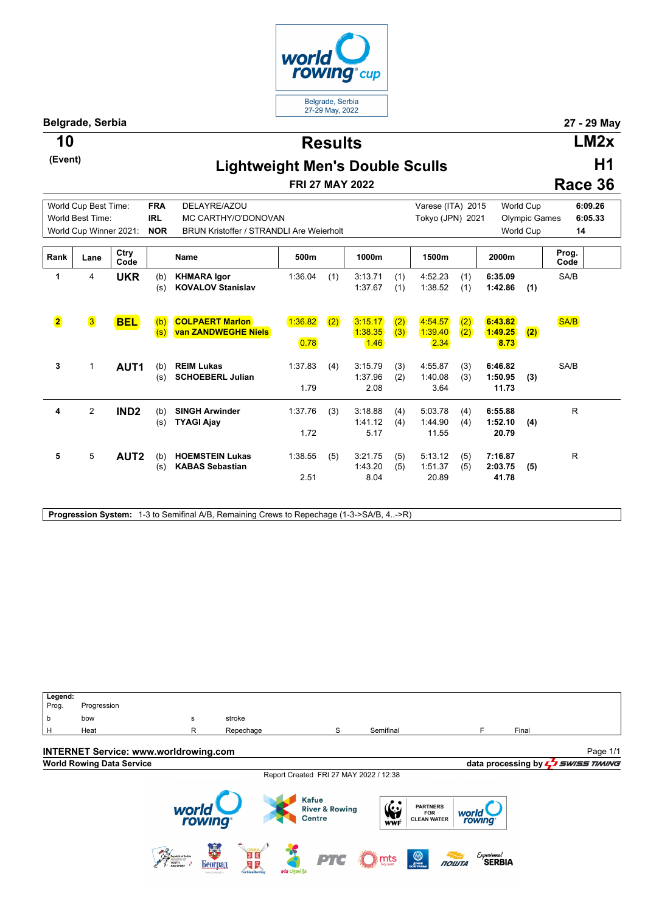

**Belgrade, Serbia 27 - 29 May**

**(Event)**

**Results 10 LM2x**

## **Lightweight Men's Double Sculls**

**FRI 27 MAY 2022**

**H1 Race 36**

|                         | World Cup Best Time:   |                  | <b>FRA</b> | DELAYRE/AZOU                                     |                 |     |                            |            | Varese (ITA) 2015           |            |                             | <b>World Cup</b>     | 6:09.26       |
|-------------------------|------------------------|------------------|------------|--------------------------------------------------|-----------------|-----|----------------------------|------------|-----------------------------|------------|-----------------------------|----------------------|---------------|
|                         | World Best Time:       |                  | <b>IRL</b> | MC CARTHY/O'DONOVAN                              |                 |     |                            |            | Tokyo (JPN) 2021            |            |                             | <b>Olympic Games</b> | 6:05.33       |
|                         | World Cup Winner 2021: |                  | <b>NOR</b> | <b>BRUN Kristoffer / STRANDLI Are Weierholt</b>  |                 |     |                            |            |                             |            |                             | World Cup            | 14            |
| Rank                    | Lane                   | Ctry<br>Code     |            | Name                                             | 500m            |     | 1000m                      |            | 1500m                       |            | 2000m                       |                      | Prog.<br>Code |
| 1                       | 4                      | <b>UKR</b>       | (b)<br>(s) | <b>KHMARA Igor</b><br><b>KOVALOV Stanislav</b>   | 1:36.04         | (1) | 3:13.71<br>1:37.67         | (1)<br>(1) | 4:52.23<br>1:38.52          | (1)<br>(1) | 6:35.09<br>1:42.86          | (1)                  | SA/B          |
| $\overline{\mathbf{2}}$ | 3                      | <b>BEL</b>       | (b)<br>(s) | <b>COLPAERT Marlon</b><br>van ZANDWEGHE Niels    | 1:36.82<br>0.78 | (2) | 3:15.17<br>1:38.35<br>1.46 | (2)<br>(3) | 4:54.57<br>1:39.40<br>2.34  | (2)<br>(2) | 6:43.82<br>1:49.25<br>8.73  | (2)                  | SA/B          |
| 3                       | 1                      | AUT <sub>1</sub> | (b)<br>(s) | <b>REIM Lukas</b><br><b>SCHOEBERL Julian</b>     | 1:37.83<br>1.79 | (4) | 3:15.79<br>1:37.96<br>2.08 | (3)<br>(2) | 4:55.87<br>1:40.08<br>3.64  | (3)<br>(3) | 6:46.82<br>1:50.95<br>11.73 | (3)                  | SA/B          |
| 4                       | 2                      | IND <sub>2</sub> | (b)<br>(s) | <b>SINGH Arwinder</b><br><b>TYAGI Ajay</b>       | 1:37.76<br>1.72 | (3) | 3:18.88<br>1:41.12<br>5.17 | (4)<br>(4) | 5:03.78<br>1:44.90<br>11.55 | (4)<br>(4) | 6:55.88<br>1:52.10<br>20.79 | (4)                  | R             |
| 5                       | 5                      | AUT2             | (b)<br>(s) | <b>HOEMSTEIN Lukas</b><br><b>KABAS Sebastian</b> | 1:38.55<br>2.51 | (5) | 3:21.75<br>1:43.20<br>8.04 | (5)<br>(5) | 5:13.12<br>1:51.37<br>20.89 | (5)<br>(5) | 7:16.87<br>2:03.75<br>41.78 | (5)                  | R             |

**Progression System:** 1-3 to Semifinal A/B, Remaining Crews to Repechage (1-3->SA/B, 4..->R)

Legend:<br>Prog. Progression b bow s stroke H Heat R Repechage S Semifinal F Final **INTERNET Service: www.worldrowing.com** Page 1/1**World Rowing Data Service data processing by**  $\frac{1}{2}$  **SWISS TIMING** Report Created FRI 27 MAY 2022 / 12:38 **Kafue**  $\frac{\sum_{v}^{2}}{w}$ PARTNERS<br>FOR<br>CLEAN WATER world<br>rowing **River & Rowing** world<br>rowing Centre Bearing Beorpan Experience!<br>**SERBIA** PTG  $\sum_{\text{noise}}$  $\bigcirc$  $n<sub>outra</sub>$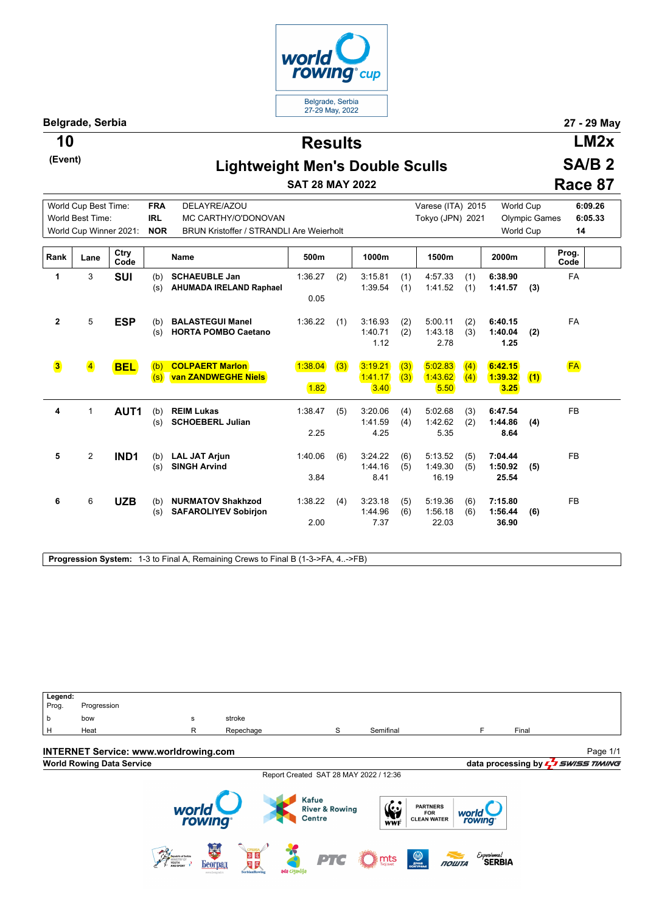

**Belgrade, Serbia 27 - 29 May**

**(Event)**

**Results 10 LM2x**

## **Lightweight Men's Double Sculls**

**SAT 28 MAY 2022**

|  |  | м<br>п |  |
|--|--|--------|--|
|  |  |        |  |

**SA/B 2**

**Race 87**

|                         | World Cup Best Time:    |                  | <b>FRA</b> | DELAYRE/AZOU                                            |                 |     |                            |            | Varese (ITA) 2015           |            | <b>World Cup</b>            |                      | 6:09.26       |
|-------------------------|-------------------------|------------------|------------|---------------------------------------------------------|-----------------|-----|----------------------------|------------|-----------------------------|------------|-----------------------------|----------------------|---------------|
|                         | World Best Time:        |                  | <b>IRL</b> | MC CARTHY/O'DONOVAN                                     |                 |     |                            |            | Tokyo (JPN) 2021            |            |                             | <b>Olympic Games</b> | 6:05.33       |
|                         | World Cup Winner 2021:  |                  | <b>NOR</b> | <b>BRUN Kristoffer / STRANDLI Are Weierholt</b>         |                 |     |                            |            |                             |            | World Cup                   |                      | 14            |
| Rank                    | Lane                    | Ctry<br>Code     |            | Name                                                    | 500m            |     | 1000m                      |            | 1500m                       |            | 2000m                       |                      | Prog.<br>Code |
| 1                       | 3                       | <b>SUI</b>       | (b)<br>(s) | <b>SCHAEUBLE Jan</b><br>AHUMADA IRELAND Raphael         | 1:36.27<br>0.05 | (2) | 3:15.81<br>1:39.54         | (1)<br>(1) | 4:57.33<br>1:41.52          | (1)<br>(1) | 6:38.90<br>1:41.57          | (3)                  | <b>FA</b>     |
| $\mathbf{2}$            | 5                       | <b>ESP</b>       | (b)<br>(s) | <b>BALASTEGUI Manel</b><br><b>HORTA POMBO Caetano</b>   | 1:36.22         | (1) | 3:16.93<br>1:40.71<br>1.12 | (2)<br>(2) | 5:00.11<br>1:43.18<br>2.78  | (2)<br>(3) | 6:40.15<br>1:40.04<br>1.25  | (2)                  | <b>FA</b>     |
| $\overline{\mathbf{3}}$ | $\overline{\mathbf{4}}$ | <b>BEL</b>       | (b)<br>(s) | <b>COLPAERT Marlon</b><br>van ZANDWEGHE Niels           | 1:38.04<br>1.82 | (3) | 3:19.21<br>1:41.17<br>3.40 | (3)<br>(3) | 5:02.83<br>1:43.62<br>5.50  | (4)<br>(4) | 6:42.15<br>1:39.32<br>3.25  | (1)                  | <b>FA</b>     |
| 4                       | 1                       | AUT1             | (b)<br>(s) | <b>REIM Lukas</b><br><b>SCHOEBERL Julian</b>            | 1:38.47<br>2.25 | (5) | 3:20.06<br>1:41.59<br>4.25 | (4)<br>(4) | 5:02.68<br>1:42.62<br>5.35  | (3)<br>(2) | 6:47.54<br>1:44.86<br>8.64  | (4)                  | <b>FB</b>     |
| 5                       | $\overline{2}$          | IND <sub>1</sub> | (b)<br>(s) | <b>LAL JAT Arjun</b><br><b>SINGH Arvind</b>             | 1:40.06<br>3.84 | (6) | 3:24.22<br>1:44.16<br>8.41 | (6)<br>(5) | 5:13.52<br>1:49.30<br>16.19 | (5)<br>(5) | 7:04.44<br>1:50.92<br>25.54 | (5)                  | <b>FB</b>     |
| 6                       | 6                       | <b>UZB</b>       | (b)<br>(s) | <b>NURMATOV Shakhzod</b><br><b>SAFAROLIYEV Sobirjon</b> | 1:38.22<br>2.00 | (4) | 3:23.18<br>1:44.96<br>7.37 | (5)<br>(6) | 5:19.36<br>1:56.18<br>22.03 | (6)<br>(6) | 7:15.80<br>1:56.44<br>36.90 | (6)                  | <b>FB</b>     |

**Progression System:** 1-3 to Final A, Remaining Crews to Final B (1-3->FA, 4..->FB)